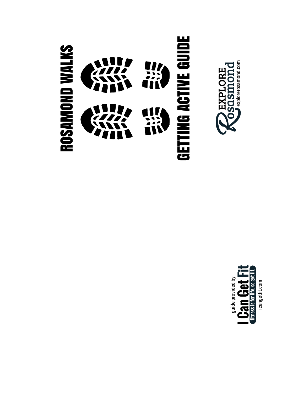



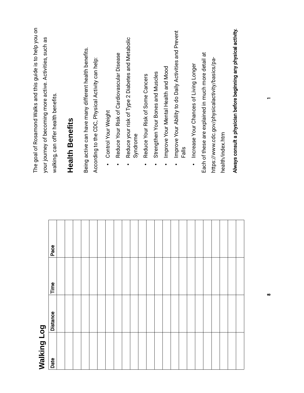| The goal of Rosamond Walks and this guide is to help you on<br>your journey of becoming more active. Activities, such as | walking, can offer health benefits. | <b>Health Benefits</b> | Being active can have many different health benefits. | According to the CDC, Physical Activity can help: | Control Your Weight | Reduce Your Risk of Cardiovascular Disease | Reduce your risk of Type 2 Diabetes and Metabolic | Syndrome | Reduce Your Risk of Some Cancers | Strengthen Your Bones and Muscles | Improve Your Mental Health and Mood | Improve Your Ability to do Daily Activities and Prevent | Falls | Increase Your Chances of Living Longer | Each of these are explained in much more detail at | https://www.cdc.gov/physicalactivity/basics/pa- | health/index.htm | Always consult a physician before beginning any physical activity. |  |
|--------------------------------------------------------------------------------------------------------------------------|-------------------------------------|------------------------|-------------------------------------------------------|---------------------------------------------------|---------------------|--------------------------------------------|---------------------------------------------------|----------|----------------------------------|-----------------------------------|-------------------------------------|---------------------------------------------------------|-------|----------------------------------------|----------------------------------------------------|-------------------------------------------------|------------------|--------------------------------------------------------------------|--|
|                                                                                                                          | Pace                                |                        |                                                       |                                                   |                     |                                            |                                                   |          |                                  |                                   |                                     |                                                         |       |                                        |                                                    |                                                 |                  |                                                                    |  |
|                                                                                                                          | Time                                |                        |                                                       |                                                   |                     |                                            |                                                   |          |                                  |                                   |                                     |                                                         |       |                                        |                                                    |                                                 |                  |                                                                    |  |
|                                                                                                                          | <b>Distance</b>                     |                        |                                                       |                                                   |                     |                                            |                                                   |          |                                  |                                   |                                     |                                                         |       |                                        |                                                    |                                                 |                  |                                                                    |  |
| Walking Log                                                                                                              | Date                                |                        |                                                       |                                                   |                     |                                            |                                                   |          |                                  |                                   |                                     |                                                         |       |                                        |                                                    |                                                 |                  |                                                                    |  |

 $\overline{a}$ 

 $\infty$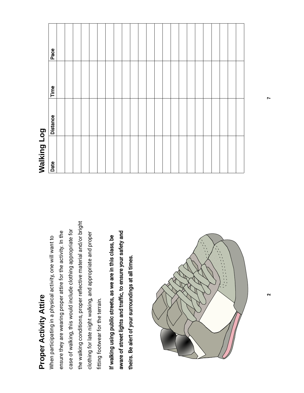## Proper Activity Attire Proper Activity Attire

the walking conditions, proper refective material and/or bright the walking conditions, proper reflective material and/or bright case of walking, this would include clothing appropriate for case of walking, this would include clothing appropriate for ensure they are wearing proper attire for the activity. In the ensure they are wearing proper attire for the activity. In the clothing for late night walking, and appropriate and proper clothing for late night walking, and appropriate and proper When participating in a physical activity, one will want to When participating in a physical activity, one will want to fitting footwear for the terrain. ftting footwear for the terrain.

aware of street lights and traffic, to ensure your safety and aware of street lights and traffc, to ensure your safety and If walking using public streets, as we are in this class, be If walking using public streets, as we are in this class, be theirs. Be alert of your surroundings at all times. theirs. Be alert of your surroundings at all times.



# Walking Log

| Date | <b>Distance</b> | Time | Pace |
|------|-----------------|------|------|
|      |                 |      |      |
|      |                 |      |      |
|      |                 |      |      |
|      |                 |      |      |
|      |                 |      |      |
|      |                 |      |      |
|      |                 |      |      |
|      |                 |      |      |
|      |                 |      |      |
|      |                 |      |      |
|      |                 |      |      |
|      |                 |      |      |
|      |                 |      |      |
|      |                 |      |      |
|      |                 |      |      |
|      |                 |      |      |
|      |                 |      |      |
|      |                 |      |      |
|      |                 |      |      |
|      |                 |      |      |
|      |                 |      |      |
|      |                 |      |      |
|      |                 |      |      |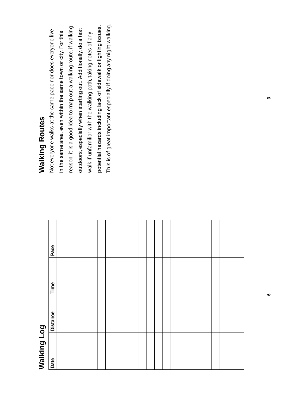# Walking Log

| Pace     |  |  |  |  |  |  |  |  |  |  |  |  |
|----------|--|--|--|--|--|--|--|--|--|--|--|--|
| Time     |  |  |  |  |  |  |  |  |  |  |  |  |
| Distance |  |  |  |  |  |  |  |  |  |  |  |  |
| Date     |  |  |  |  |  |  |  |  |  |  |  |  |

#### **Walking Routes** Walking Routes

This is of great important especially if doing any night walking. potential hazards including lack of sidewalk or lighting issues. This is of great important especially if doing any night walking. reason, it is a good idea to map out a walking route, if walking potential hazards including lack of sidewalk or lighting issues. reason, it is a good idea to map out a walking route, if walking outdoors, especially when starting out. Additionally, do a test Not everyone walks at the same pace nor does everyone live outdoors, especially when starting out. Additionally, do a test Not everyone walks at the same pace nor does everyone live in the same area, even within the same town or city. For this in the same area, even within the same town or city. For this walk if unfamiliar with the walking path, taking notes of any walk if unfamiliar with the walking path, taking notes of any